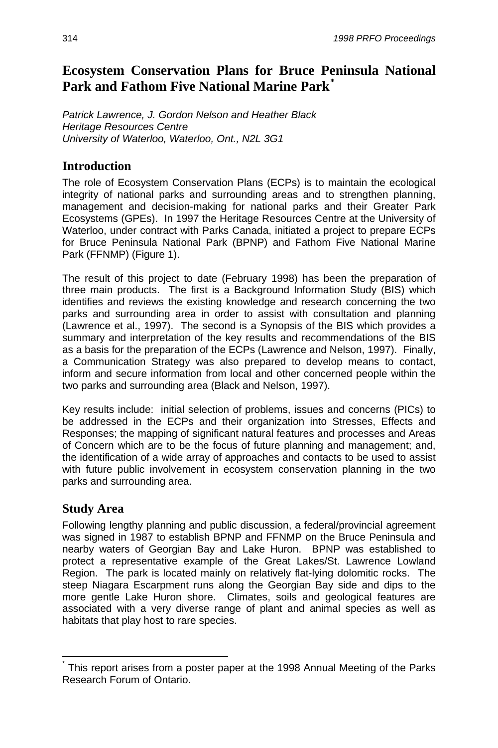# **Ecosystem Conservation Plans for Bruce Peninsula National Park and Fathom Five National Marine Park[\\*](#page-0-0)**

*Patrick Lawrence, J. Gordon Nelson and Heather Black Heritage Resources Centre University of Waterloo, Waterloo, Ont., N2L 3G1* 

### **Introduction**

The role of Ecosystem Conservation Plans (ECPs) is to maintain the ecological integrity of national parks and surrounding areas and to strengthen planning, management and decision-making for national parks and their Greater Park Ecosystems (GPEs). In 1997 the Heritage Resources Centre at the University of Waterloo, under contract with Parks Canada, initiated a project to prepare ECPs for Bruce Peninsula National Park (BPNP) and Fathom Five National Marine Park (FFNMP) (Figure 1).

The result of this project to date (February 1998) has been the preparation of three main products. The first is a Background Information Study (BIS) which identifies and reviews the existing knowledge and research concerning the two parks and surrounding area in order to assist with consultation and planning (Lawrence et al., 1997). The second is a Synopsis of the BIS which provides a summary and interpretation of the key results and recommendations of the BIS as a basis for the preparation of the ECPs (Lawrence and Nelson, 1997). Finally, a Communication Strategy was also prepared to develop means to contact, inform and secure information from local and other concerned people within the two parks and surrounding area (Black and Nelson, 1997).

Key results include: initial selection of problems, issues and concerns (PICs) to be addressed in the ECPs and their organization into Stresses, Effects and Responses; the mapping of significant natural features and processes and Areas of Concern which are to be the focus of future planning and management; and, the identification of a wide array of approaches and contacts to be used to assist with future public involvement in ecosystem conservation planning in the two parks and surrounding area.

### **Study Area**

 $\overline{a}$ 

Following lengthy planning and public discussion, a federal/provincial agreement was signed in 1987 to establish BPNP and FFNMP on the Bruce Peninsula and nearby waters of Georgian Bay and Lake Huron. BPNP was established to protect a representative example of the Great Lakes/St. Lawrence Lowland Region. The park is located mainly on relatively flat-lying dolomitic rocks. The steep Niagara Escarpment runs along the Georgian Bay side and dips to the more gentle Lake Huron shore. Climates, soils and geological features are associated with a very diverse range of plant and animal species as well as habitats that play host to rare species.

<span id="page-0-0"></span><sup>\*</sup> This report arises from a poster paper at the 1998 Annual Meeting of the Parks Research Forum of Ontario.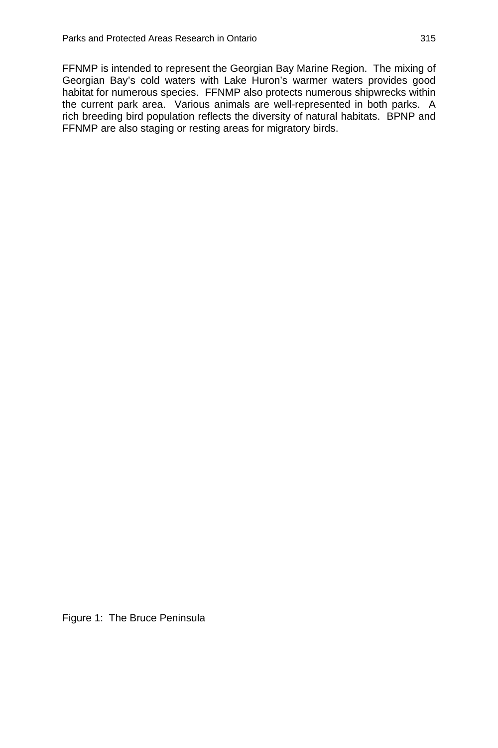FFNMP is intended to represent the Georgian Bay Marine Region. The mixing of Georgian Bay's cold waters with Lake Huron's warmer waters provides good habitat for numerous species. FFNMP also protects numerous shipwrecks within the current park area. Various animals are well-represented in both parks. A rich breeding bird population reflects the diversity of natural habitats. BPNP and FFNMP are also staging or resting areas for migratory birds.

Figure 1: The Bruce Peninsula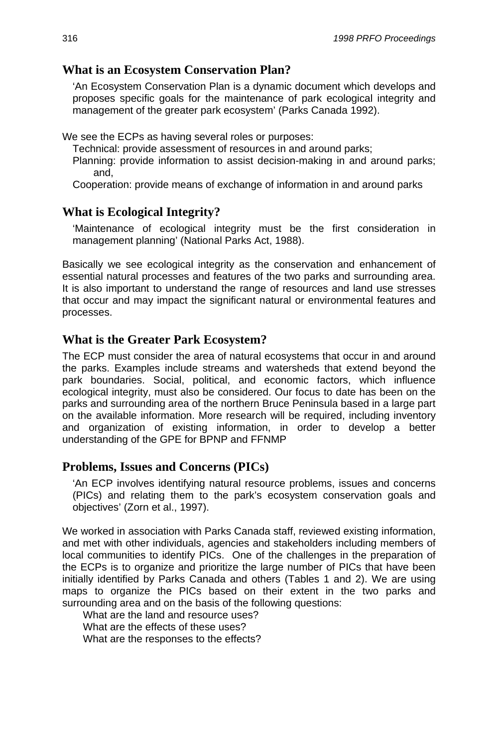#### **What is an Ecosystem Conservation Plan?**

'An Ecosystem Conservation Plan is a dynamic document which develops and proposes specific goals for the maintenance of park ecological integrity and management of the greater park ecosystem' (Parks Canada 1992).

We see the ECPs as having several roles or purposes:

Technical: provide assessment of resources in and around parks;

Planning: provide information to assist decision-making in and around parks; and,

Cooperation: provide means of exchange of information in and around parks

### **What is Ecological Integrity?**

'Maintenance of ecological integrity must be the first consideration in management planning' (National Parks Act, 1988).

Basically we see ecological integrity as the conservation and enhancement of essential natural processes and features of the two parks and surrounding area. It is also important to understand the range of resources and land use stresses that occur and may impact the significant natural or environmental features and processes.

#### **What is the Greater Park Ecosystem?**

The ECP must consider the area of natural ecosystems that occur in and around the parks. Examples include streams and watersheds that extend beyond the park boundaries. Social, political, and economic factors, which influence ecological integrity, must also be considered. Our focus to date has been on the parks and surrounding area of the northern Bruce Peninsula based in a large part on the available information. More research will be required, including inventory and organization of existing information, in order to develop a better understanding of the GPE for BPNP and FFNMP

#### **Problems, Issues and Concerns (PICs)**

'An ECP involves identifying natural resource problems, issues and concerns (PICs) and relating them to the park's ecosystem conservation goals and objectives' (Zorn et al., 1997).

We worked in association with Parks Canada staff, reviewed existing information, and met with other individuals, agencies and stakeholders including members of local communities to identify PICs. One of the challenges in the preparation of the ECPs is to organize and prioritize the large number of PICs that have been initially identified by Parks Canada and others (Tables 1 and 2). We are using maps to organize the PICs based on their extent in the two parks and surrounding area and on the basis of the following questions:

What are the land and resource uses?

What are the effects of these uses?

What are the responses to the effects?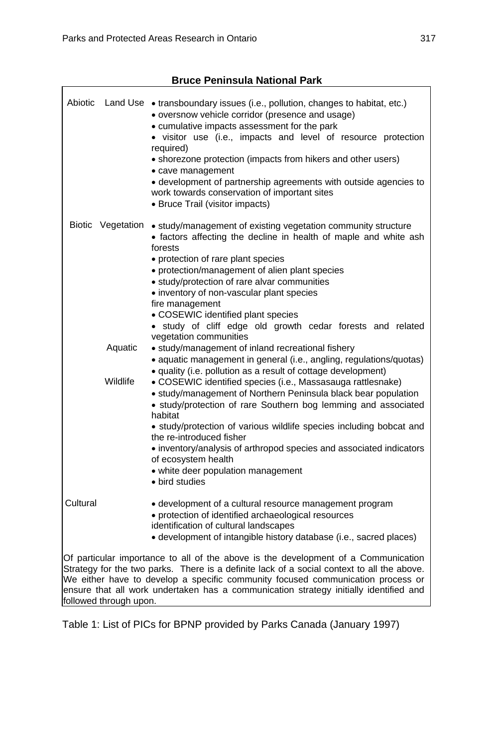| Abiotic                                                                                                                                                                       |                   | Land Use • transboundary issues (i.e., pollution, changes to habitat, etc.)<br>• oversnow vehicle corridor (presence and usage)<br>• cumulative impacts assessment for the park<br>• visitor use (i.e., impacts and level of resource protection<br>required)<br>• shorezone protection (impacts from hikers and other users)<br>• cave management<br>• development of partnership agreements with outside agencies to<br>work towards conservation of important sites<br>• Bruce Trail (visitor impacts) |  |  |
|-------------------------------------------------------------------------------------------------------------------------------------------------------------------------------|-------------------|-----------------------------------------------------------------------------------------------------------------------------------------------------------------------------------------------------------------------------------------------------------------------------------------------------------------------------------------------------------------------------------------------------------------------------------------------------------------------------------------------------------|--|--|
|                                                                                                                                                                               | Biotic Vegetation | • study/management of existing vegetation community structure<br>• factors affecting the decline in health of maple and white ash<br>forests                                                                                                                                                                                                                                                                                                                                                              |  |  |
|                                                                                                                                                                               |                   | • protection of rare plant species                                                                                                                                                                                                                                                                                                                                                                                                                                                                        |  |  |
|                                                                                                                                                                               |                   | • protection/management of alien plant species<br>· study/protection of rare alvar communities                                                                                                                                                                                                                                                                                                                                                                                                            |  |  |
|                                                                                                                                                                               |                   | • inventory of non-vascular plant species                                                                                                                                                                                                                                                                                                                                                                                                                                                                 |  |  |
|                                                                                                                                                                               |                   | fire management                                                                                                                                                                                                                                                                                                                                                                                                                                                                                           |  |  |
|                                                                                                                                                                               |                   | • COSEWIC identified plant species                                                                                                                                                                                                                                                                                                                                                                                                                                                                        |  |  |
|                                                                                                                                                                               |                   | · study of cliff edge old growth cedar forests and related                                                                                                                                                                                                                                                                                                                                                                                                                                                |  |  |
|                                                                                                                                                                               | Aquatic           | vegetation communities<br>• study/management of inland recreational fishery                                                                                                                                                                                                                                                                                                                                                                                                                               |  |  |
|                                                                                                                                                                               |                   | • aquatic management in general (i.e., angling, regulations/quotas)                                                                                                                                                                                                                                                                                                                                                                                                                                       |  |  |
|                                                                                                                                                                               | Wildlife          | • quality (i.e. pollution as a result of cottage development)<br>• COSEWIC identified species (i.e., Massasauga rattlesnake)<br>• study/management of Northern Peninsula black bear population<br>• study/protection of rare Southern bog lemming and associated<br>habitat                                                                                                                                                                                                                               |  |  |
|                                                                                                                                                                               |                   | • study/protection of various wildlife species including bobcat and<br>the re-introduced fisher                                                                                                                                                                                                                                                                                                                                                                                                           |  |  |
|                                                                                                                                                                               |                   | · inventory/analysis of arthropod species and associated indicators<br>of ecosystem health                                                                                                                                                                                                                                                                                                                                                                                                                |  |  |
|                                                                                                                                                                               |                   | · white deer population management<br>• bird studies                                                                                                                                                                                                                                                                                                                                                                                                                                                      |  |  |
| Cultural                                                                                                                                                                      |                   | • development of a cultural resource management program                                                                                                                                                                                                                                                                                                                                                                                                                                                   |  |  |
|                                                                                                                                                                               |                   | • protection of identified archaeological resources<br>identification of cultural landscapes                                                                                                                                                                                                                                                                                                                                                                                                              |  |  |
|                                                                                                                                                                               |                   | • development of intangible history database (i.e., sacred places)                                                                                                                                                                                                                                                                                                                                                                                                                                        |  |  |
| Of particular importance to all of the above is the development of a Communication                                                                                            |                   |                                                                                                                                                                                                                                                                                                                                                                                                                                                                                                           |  |  |
| Strategy for the two parks. There is a definite lack of a social context to all the above.<br>We either have to develop a specific community focused communication process or |                   |                                                                                                                                                                                                                                                                                                                                                                                                                                                                                                           |  |  |
| ensure that all work undertaken has a communication strategy initially identified and                                                                                         |                   |                                                                                                                                                                                                                                                                                                                                                                                                                                                                                                           |  |  |
| followed through upon.                                                                                                                                                        |                   |                                                                                                                                                                                                                                                                                                                                                                                                                                                                                                           |  |  |

### **Bruce Peninsula National Park**

Table 1: List of PICs for BPNP provided by Parks Canada (January 1997)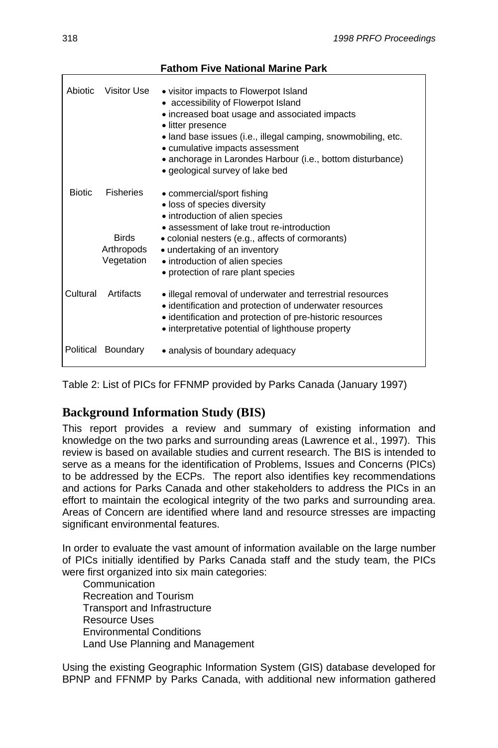| <b>Abiotic</b> | Visitor Use                                                  | • visitor impacts to Flowerpot Island<br>• accessibility of Flowerpot Island<br>• increased boat usage and associated impacts<br>• litter presence<br>• land base issues (i.e., illegal camping, snowmobiling, etc.<br>• cumulative impacts assessment<br>• anchorage in Larondes Harbour (i.e., bottom disturbance)<br>· geological survey of lake bed |
|----------------|--------------------------------------------------------------|---------------------------------------------------------------------------------------------------------------------------------------------------------------------------------------------------------------------------------------------------------------------------------------------------------------------------------------------------------|
| <b>Biotic</b>  | <b>Fisheries</b><br><b>Birds</b><br>Arthropods<br>Vegetation | • commercial/sport fishing<br>· loss of species diversity<br>• introduction of alien species<br>• assessment of lake trout re-introduction<br>• colonial nesters (e.g., affects of cormorants)<br>• undertaking of an inventory<br>• introduction of alien species<br>• protection of rare plant species                                                |
| Cultural       | Artifacts                                                    | · illegal removal of underwater and terrestrial resources<br>• identification and protection of underwater resources<br>• identification and protection of pre-historic resources<br>• interpretative potential of lighthouse property                                                                                                                  |
|                | Political Boundary                                           | • analysis of boundary adequacy                                                                                                                                                                                                                                                                                                                         |

Table 2: List of PICs for FFNMP provided by Parks Canada (January 1997)

### **Background Information Study (BIS)**

This report provides a review and summary of existing information and knowledge on the two parks and surrounding areas (Lawrence et al., 1997). This review is based on available studies and current research. The BIS is intended to serve as a means for the identification of Problems, Issues and Concerns (PICs) to be addressed by the ECPs. The report also identifies key recommendations and actions for Parks Canada and other stakeholders to address the PICs in an effort to maintain the ecological integrity of the two parks and surrounding area. Areas of Concern are identified where land and resource stresses are impacting significant environmental features.

In order to evaluate the vast amount of information available on the large number of PICs initially identified by Parks Canada staff and the study team, the PICs were first organized into six main categories:

**Communication** Recreation and Tourism Transport and Infrastructure Resource Uses Environmental Conditions Land Use Planning and Management

Using the existing Geographic Information System (GIS) database developed for BPNP and FFNMP by Parks Canada, with additional new information gathered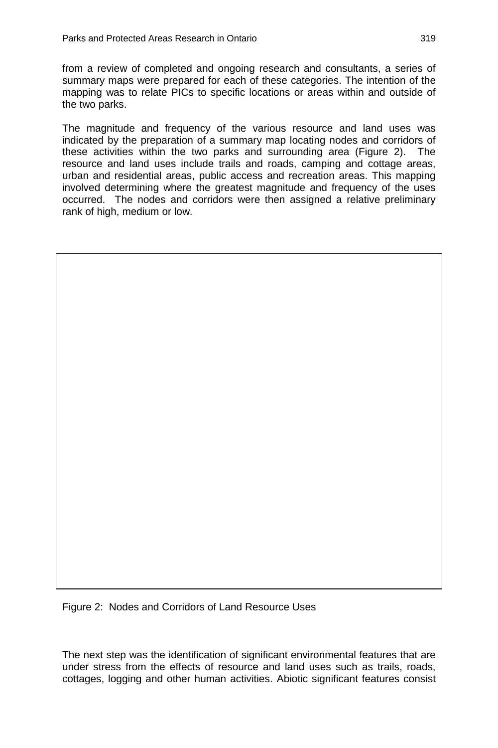from a review of completed and ongoing research and consultants, a series of summary maps were prepared for each of these categories. The intention of the mapping was to relate PICs to specific locations or areas within and outside of the two parks.

The magnitude and frequency of the various resource and land uses was indicated by the preparation of a summary map locating nodes and corridors of these activities within the two parks and surrounding area (Figure 2). The resource and land uses include trails and roads, camping and cottage areas, urban and residential areas, public access and recreation areas. This mapping involved determining where the greatest magnitude and frequency of the uses occurred. The nodes and corridors were then assigned a relative preliminary rank of high, medium or low.

Figure 2: Nodes and Corridors of Land Resource Uses

The next step was the identification of significant environmental features that are under stress from the effects of resource and land uses such as trails, roads, cottages, logging and other human activities. Abiotic significant features consist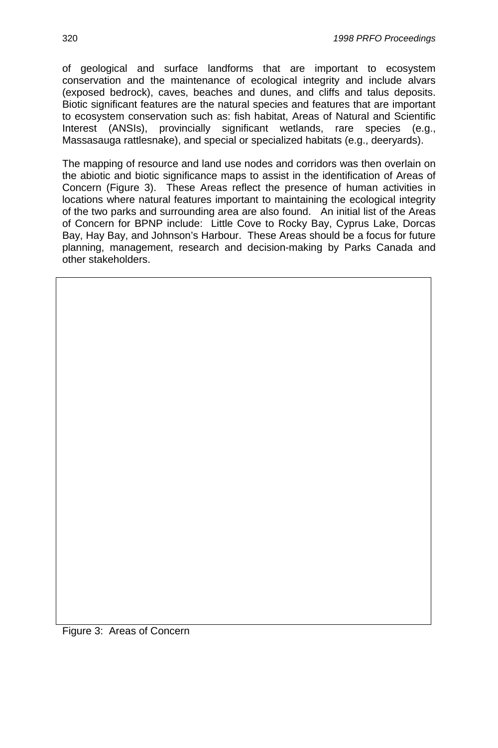of geological and surface landforms that are important to ecosystem conservation and the maintenance of ecological integrity and include alvars (exposed bedrock), caves, beaches and dunes, and cliffs and talus deposits. Biotic significant features are the natural species and features that are important to ecosystem conservation such as: fish habitat, Areas of Natural and Scientific Interest (ANSIs), provincially significant wetlands, rare species (e.g., Massasauga rattlesnake), and special or specialized habitats (e.g., deeryards).

The mapping of resource and land use nodes and corridors was then overlain on the abiotic and biotic significance maps to assist in the identification of Areas of Concern (Figure 3). These Areas reflect the presence of human activities in locations where natural features important to maintaining the ecological integrity of the two parks and surrounding area are also found. An initial list of the Areas of Concern for BPNP include: Little Cove to Rocky Bay, Cyprus Lake, Dorcas Bay, Hay Bay, and Johnson's Harbour. These Areas should be a focus for future planning, management, research and decision-making by Parks Canada and other stakeholders.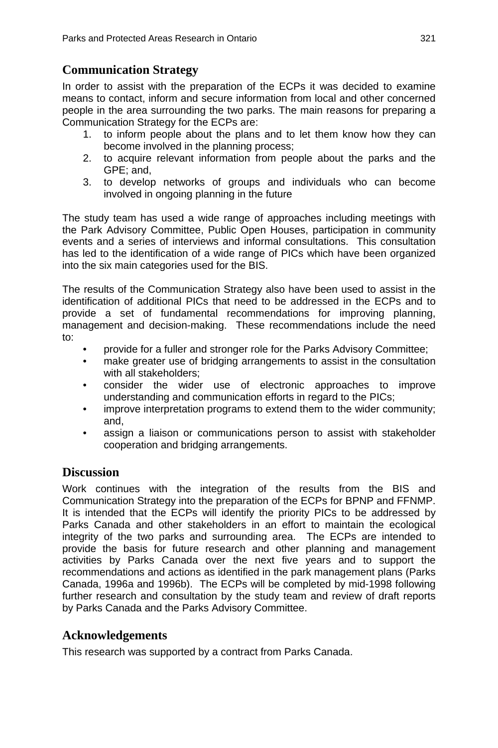# **Communication Strategy**

In order to assist with the preparation of the ECPs it was decided to examine means to contact, inform and secure information from local and other concerned people in the area surrounding the two parks. The main reasons for preparing a Communication Strategy for the ECPs are:

- 1. to inform people about the plans and to let them know how they can become involved in the planning process;
- 2. to acquire relevant information from people about the parks and the GPE; and,
- 3. to develop networks of groups and individuals who can become involved in ongoing planning in the future

The study team has used a wide range of approaches including meetings with the Park Advisory Committee, Public Open Houses, participation in community events and a series of interviews and informal consultations. This consultation has led to the identification of a wide range of PICs which have been organized into the six main categories used for the BIS.

The results of the Communication Strategy also have been used to assist in the identification of additional PICs that need to be addressed in the ECPs and to provide a set of fundamental recommendations for improving planning, management and decision-making. These recommendations include the need to:

- provide for a fuller and stronger role for the Parks Advisory Committee;
- make greater use of bridging arrangements to assist in the consultation with all stakeholders;
- consider the wider use of electronic approaches to improve understanding and communication efforts in regard to the PICs;
- improve interpretation programs to extend them to the wider community; and,
- assign a liaison or communications person to assist with stakeholder cooperation and bridging arrangements.

# **Discussion**

Work continues with the integration of the results from the BIS and Communication Strategy into the preparation of the ECPs for BPNP and FFNMP. It is intended that the ECPs will identify the priority PICs to be addressed by Parks Canada and other stakeholders in an effort to maintain the ecological integrity of the two parks and surrounding area. The ECPs are intended to provide the basis for future research and other planning and management activities by Parks Canada over the next five years and to support the recommendations and actions as identified in the park management plans (Parks Canada, 1996a and 1996b). The ECPs will be completed by mid-1998 following further research and consultation by the study team and review of draft reports by Parks Canada and the Parks Advisory Committee.

# **Acknowledgements**

This research was supported by a contract from Parks Canada.